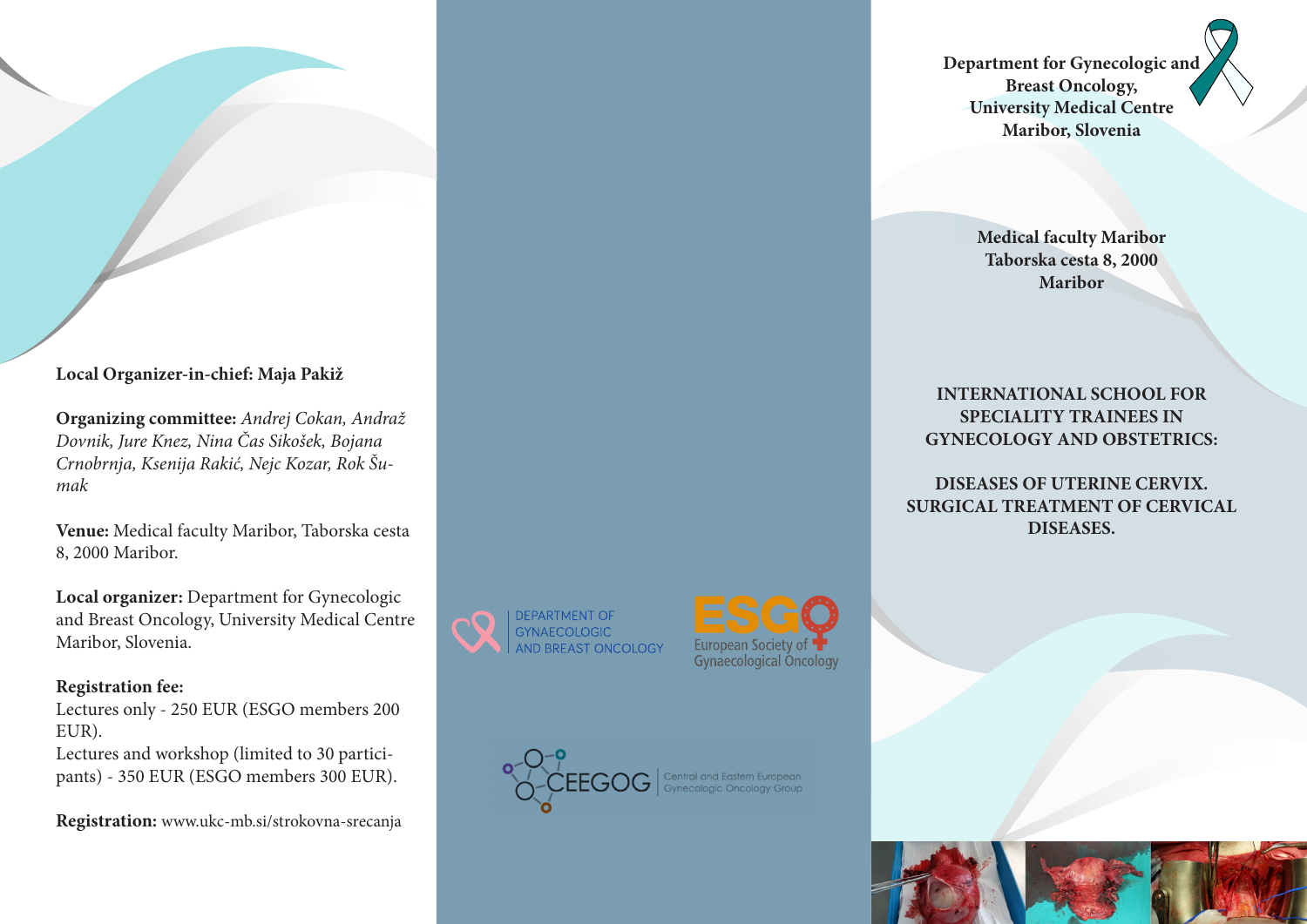**Local Organizer-in-chief: Maja Pakiž**

**Organizing committee:** *Andrej Cokan, Andraž Dovnik, Jure Knez, Nina Čas Sikošek, Bojana Crnobrnja, Ksenija Rakić, Nejc Kozar, Rok Šumak*

**Venue:** Medical faculty Maribor, Taborska cesta 8, 2000 Maribor.

**Local organizer:** Department for Gynecologic and Breast Oncology, University Medical Centre Maribor, Slovenia.

# **Registration fee:**

Lectures only - 250 EUR (ESGO members 200 EUR).

Lectures and workshop (limited to 30 participants) - 350 EUR (ESGO members 300 EUR).

**Registration:** www.ukc-mb.si/strokovna-srecanja







**Department for Gynecologic and Breast Oncology, University Medical Centre Maribor, Slovenia**

> **Medical faculty Maribor Taborska cesta 8, 2000 Maribor**

**INTERNATIONAL SCHOOL FOR SPECIALITY TRAINEES IN GYNECOLOGY AND OBSTETRICS:**

**DISEASES OF UTERINE CERVIX. SURGICAL TREATMENT OF CERVICAL DISEASES.**